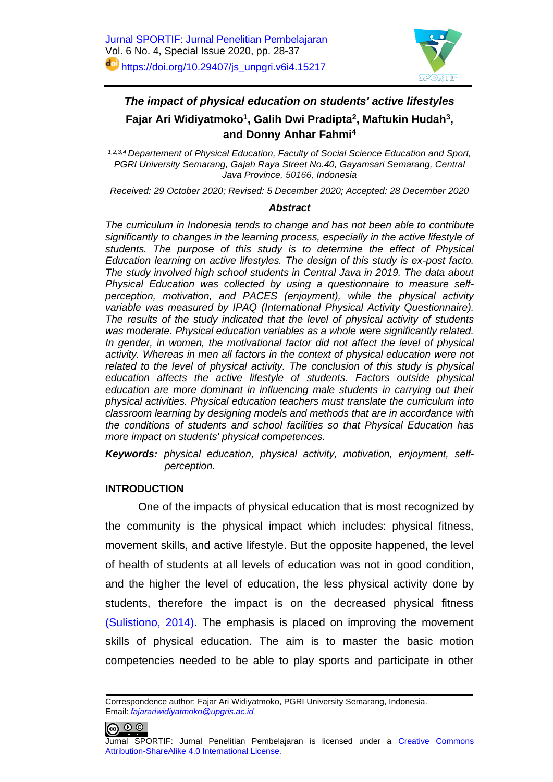

# *The impact of physical education on students' active lifestyles* **Fajar Ari Widiyatmoko<sup>1</sup> , Galih Dwi Pradipta<sup>2</sup> , Maftukin Hudah<sup>3</sup> , and Donny Anhar Fahmi<sup>4</sup>**

*1,2,3,4 Departement of Physical Education, Faculty of Social Science Education and Sport, PGRI University Semarang, Gajah Raya Street No.40, Gayamsari Semarang, Central Java Province, 50166, Indonesia*

*Received: 29 October 2020; Revised: 5 December 2020; Accepted: 28 December 2020*

#### *Abstract*

*The curriculum in Indonesia tends to change and has not been able to contribute significantly to changes in the learning process, especially in the active lifestyle of students. The purpose of this study is to determine the effect of Physical Education learning on active lifestyles. The design of this study is ex-post facto. The study involved high school students in Central Java in 2019. The data about Physical Education was collected by using a questionnaire to measure selfperception, motivation, and PACES (enjoyment), while the physical activity variable was measured by IPAQ (International Physical Activity Questionnaire). The results of the study indicated that the level of physical activity of students was moderate. Physical education variables as a whole were significantly related. In gender, in women, the motivational factor did not affect the level of physical activity. Whereas in men all factors in the context of physical education were not related to the level of physical activity. The conclusion of this study is physical education affects the active lifestyle of students. Factors outside physical education are more dominant in influencing male students in carrying out their physical activities. Physical education teachers must translate the curriculum into classroom learning by designing models and methods that are in accordance with the conditions of students and school facilities so that Physical Education has more impact on students' physical competences.*

*Keywords: physical education, physical activity, motivation, enjoyment, selfperception.*

#### **INTRODUCTION**

One of the impacts of physical education that is most recognized by the community is the physical impact which includes: physical fitness, movement skills, and active lifestyle. But the opposite happened, the level of health of students at all levels of education was not in good condition, and the higher the level of education, the less physical activity done by students, therefore the impact is on the decreased physical fitness [\(Sulistiono, 2014\).](#page-9-0) The emphasis is placed on improving the movement skills of physical education. The aim is to master the basic motion competencies needed to be able to play sports and participate in other

 $\circledcirc$ 

Correspondence author: Fajar Ari Widiyatmoko, PGRI University Semarang, Indonesia. Email: *[fajarariwidiyatmoko@upgris.ac.id](mailto:fajarariwidiyatmoko@upgris.ac.id)*

Jurnal SPORTIF: Jurnal Penelitian Pembelajaran is licensed under a [Creative Commons](http://creativecommons.org/licenses/by-sa/4.0/)  [Attribution-ShareAlike 4.0 International License](http://creativecommons.org/licenses/by-sa/4.0/).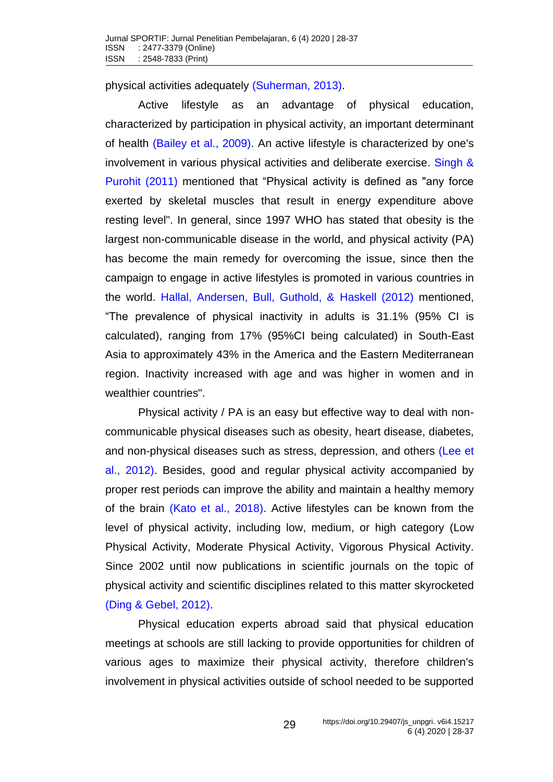physical activities adequately [\(Suherman, 2013\).](#page-9-1)

Active lifestyle as an advantage of physical education, characterized by participation in physical activity, an important determinant of health [\(Bailey et al., 2009\).](#page-7-0) An active lifestyle is characterized by one's involvement in various physical activities and deliberate exercise. [Singh &](#page-9-2)  Purohit (2011) mentioned that "Physical activity is defined as "any force exerted by skeletal muscles that result in energy expenditure above resting level". In general, since 1997 WHO has stated that obesity is the largest non-communicable disease in the world, and physical activity (PA) has become the main remedy for overcoming the issue, since then the campaign to engage in active lifestyles is promoted in various countries in the world. [Hallal, Andersen, Bull, Guthold, & Haskell](#page-7-1) (2012) mentioned, "The prevalence of physical inactivity in adults is 31.1% (95% CI is calculated), ranging from 17% (95%CI being calculated) in South-East Asia to approximately 43% in the America and the Eastern Mediterranean region. Inactivity increased with age and was higher in women and in wealthier countries".

Physical activity / PA is an easy but effective way to deal with noncommunicable physical diseases such as obesity, heart disease, diabetes, and non-physical diseases such as stress, depression, and others [\(Lee et](#page-8-0)  al., 2012). Besides, good and regular physical activity accompanied by proper rest periods can improve the ability and maintain a healthy memory of the brain [\(Kato et al., 2018\).](#page-8-1) Active lifestyles can be known from the level of physical activity, including low, medium, or high category (Low Physical Activity, Moderate Physical Activity, Vigorous Physical Activity. Since 2002 until now publications in scientific journals on the topic of physical activity and scientific disciplines related to this matter skyrocketed [\(Ding & Gebel, 2012\).](#page-7-2)

Physical education experts abroad said that physical education meetings at schools are still lacking to provide opportunities for children of various ages to maximize their physical activity, therefore children's involvement in physical activities outside of school needed to be supported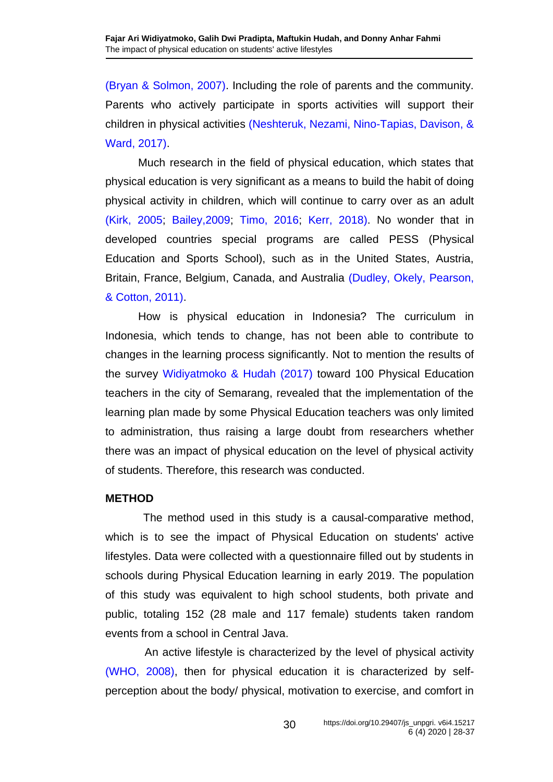[\(Bryan & Solmon, 2007\).](#page-7-3) Including the role of parents and the community. Parents who actively participate in sports activities will support their children in physical activities [\(Neshteruk, Nezami, Nino-Tapias, Davison, &](#page-8-2)  Ward, 2017).

Much research in the field of physical education, which states that physical education is very significant as a means to build the habit of doing physical activity in children, which will continue to carry over as an adult (Kirk, [2005;](#page-8-3) [Bailey,2009;](#page-7-0) [Timo, 2016;](#page-9-3) Kerr, [2018\).](#page-8-4) No wonder that in developed countries special programs are called PESS (Physical Education and Sports School), such as in the United States, Austria, Britain, France, Belgium, Canada, and Australia [\(Dudley, Okely, Pearson,](#page-7-4)  & Cotton, 2011).

How is physical education in Indonesia? The curriculum in Indonesia, which tends to change, has not been able to contribute to changes in the learning process significantly. Not to mention the results of the survey [Widiyatmoko & Hudah](#page-9-4) (2017) toward 100 Physical Education teachers in the city of Semarang, revealed that the implementation of the learning plan made by some Physical Education teachers was only limited to administration, thus raising a large doubt from researchers whether there was an impact of physical education on the level of physical activity of students. Therefore, this research was conducted.

### **METHOD**

The method used in this study is a causal-comparative method, which is to see the impact of Physical Education on students' active lifestyles. Data were collected with a questionnaire filled out by students in schools during Physical Education learning in early 2019. The population of this study was equivalent to high school students, both private and public, totaling 152 (28 male and 117 female) students taken random events from a school in Central Java.

An active lifestyle is characterized by the level of physical activity [\(WHO, 2008\),](#page-9-5) then for physical education it is characterized by selfperception about the body/ physical, motivation to exercise, and comfort in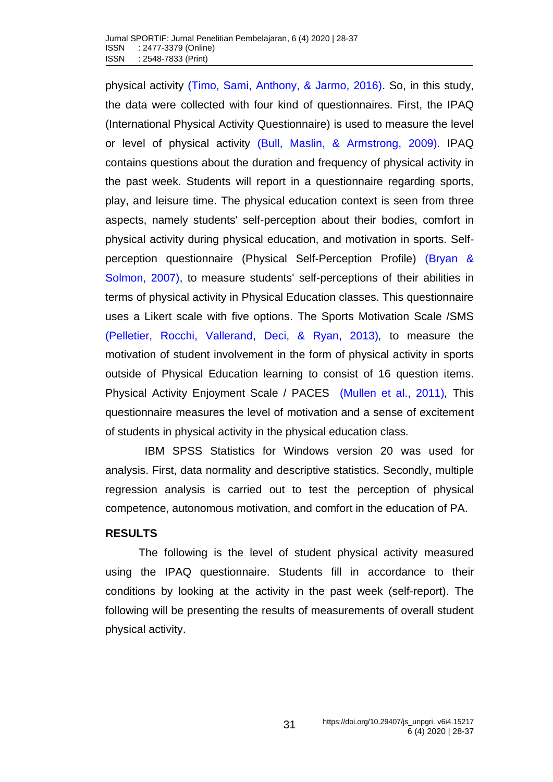physical activity [\(Timo, Sami, Anthony, & Jarmo, 2016\).](#page-9-3) So, in this study, the data were collected with four kind of questionnaires. First, the IPAQ (International Physical Activity Questionnaire) is used to measure the level or level of physical activity [\(Bull, Maslin, & Armstrong, 2009\).](#page-7-5) IPAQ contains questions about the duration and frequency of physical activity in the past week. Students will report in a questionnaire regarding sports, play, and leisure time. The physical education context is seen from three aspects, namely students' self-perception about their bodies, comfort in physical activity during physical education, and motivation in sports. Selfperception questionnaire (Physical Self-Perception Profile) [\(Bryan &](#page-7-3)  Solmon, 2007), to measure students' self-perceptions of their abilities in terms of physical activity in Physical Education classes. This questionnaire uses a Likert scale with five options. The Sports Motivation Scale /SMS [\(Pelletier, Rocchi, Vallerand, Deci, & Ryan, 2013\)](#page-8-5)*,* to measure the motivation of student involvement in the form of physical activity in sports outside of Physical Education learning to consist of 16 question items. Physical Activity Enjoyment Scale / PACES[\(Mullen et al., 2011\)](#page-8-6)*,* This questionnaire measures the level of motivation and a sense of excitement of students in physical activity in the physical education class*.* 

IBM SPSS Statistics for Windows version 20 was used for analysis. First, data normality and descriptive statistics. Secondly, multiple regression analysis is carried out to test the perception of physical competence, autonomous motivation, and comfort in the education of PA.

### **RESULTS**

The following is the level of student physical activity measured using the IPAQ questionnaire. Students fill in accordance to their conditions by looking at the activity in the past week (self-report). The following will be presenting the results of measurements of overall student physical activity.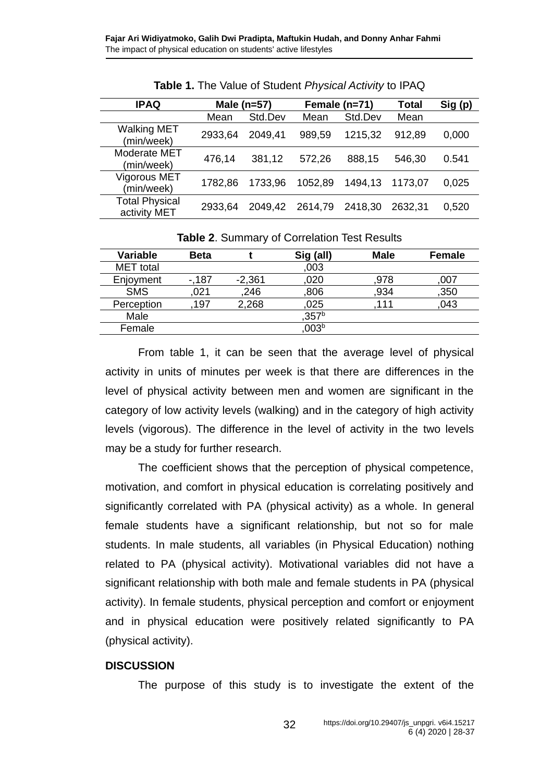| <b>IPAQ</b>                           | Male $(n=57)$ |         | Female (n=71) |         | <b>Total</b> | Sig(p) |
|---------------------------------------|---------------|---------|---------------|---------|--------------|--------|
|                                       | Mean          | Std.Dev | Mean          | Std.Dev | Mean         |        |
| <b>Walking MET</b><br>(min/week)      | 2933,64       | 2049,41 | 989,59        | 1215,32 | 912,89       | 0,000  |
| Moderate MET<br>(min/week)            | 476,14        | 381,12  | 572,26        | 888,15  | 546,30       | 0.541  |
| <b>Vigorous MET</b><br>(min/week)     | 1782,86       | 1733,96 | 1052,89       | 1494,13 | 1173,07      | 0,025  |
| <b>Total Physical</b><br>activity MET | 2933,64       | 2049,42 | 2614,79       | 2418,30 | 2632,31      | 0,520  |

**Table 1.** The Value of Student *Physical Activity* to IPAQ

| Variable         | <b>Beta</b> |          | Sig (all)        | <b>Male</b> | Female |
|------------------|-------------|----------|------------------|-------------|--------|
| <b>MET</b> total |             |          | ,003             |             |        |
| Enjoyment        | $-187$      | $-2,361$ | .020             | .978        | .007   |
| <b>SMS</b>       | 021         | 246      | 806              | ,934        | ,350   |
| Perception       | 197         | 2,268    | 025              | 111         | 043    |
| Male             |             |          | 357 <sup>b</sup> |             |        |
| Female           |             |          | 003 <sup>b</sup> |             |        |

**Table 2**. Summary of Correlation Test Results

From table 1, it can be seen that the average level of physical activity in units of minutes per week is that there are differences in the level of physical activity between men and women are significant in the category of low activity levels (walking) and in the category of high activity levels (vigorous). The difference in the level of activity in the two levels may be a study for further research.

The coefficient shows that the perception of physical competence, motivation, and comfort in physical education is correlating positively and significantly correlated with PA (physical activity) as a whole. In general female students have a significant relationship, but not so for male students. In male students, all variables (in Physical Education) nothing related to PA (physical activity). Motivational variables did not have a significant relationship with both male and female students in PA (physical activity). In female students, physical perception and comfort or enjoyment and in physical education were positively related significantly to PA (physical activity).

### **DISCUSSION**

The purpose of this study is to investigate the extent of the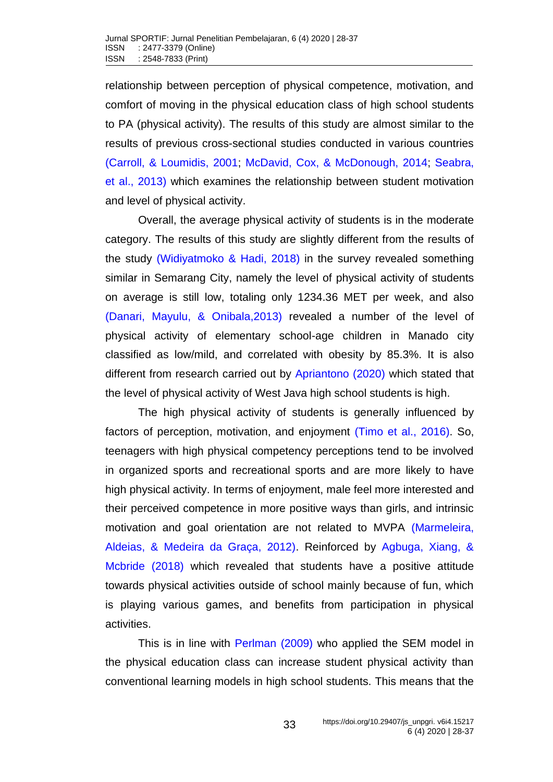relationship between perception of physical competence, motivation, and comfort of moving in the physical education class of high school students to PA (physical activity). The results of this study are almost similar to the results of previous cross-sectional studies conducted in various countries (Carroll, [& Loumidis, 2001;](#page-7-6) McDavid, Cox, [& McDonough, 2014;](#page-8-7) [Seabra,](#page-9-6)  et al., [2013\)](#page-9-6) which examines the relationship between student motivation and level of physical activity.

Overall, the average physical activity of students is in the moderate category. The results of this study are slightly different from the results of the study [\(Widiyatmoko & Hadi,](#page-9-7) 2018) in the survey revealed something similar in Semarang City, namely the level of physical activity of students on average is still low, totaling only 1234.36 MET per week, and also [\(Danari, Mayulu, & Onibala,2013\)](#page-7-7) revealed a number of the level of physical activity of elementary school-age children in Manado city classified as low/mild, and correlated with obesity by 85.3%. It is also different from research carried out by [Apriantono \(2020\)](#page-7-8) which stated that the level of physical activity of West Java high school students is high.

The high physical activity of students is generally influenced by factors of perception, motivation, and enjoyment [\(Timo et al., 2016\).](#page-9-3) So, teenagers with high physical competency perceptions tend to be involved in organized sports and recreational sports and are more likely to have high physical activity. In terms of enjoyment, male feel more interested and their perceived competence in more positive ways than girls, and intrinsic motivation and goal orientation are not related to MVPA [\(Marmeleira,](#page-8-8)  Aldeias, & Medeira da Graça, 2012). Reinforced by [Agbuga, Xiang, &](#page-7-9)  Mcbride (2018) which revealed that students have a positive attitude towards physical activities outside of school mainly because of fun, which is playing various games, and benefits from participation in physical activities.

This is in line with [Perlman](#page-9-8) (2009) who applied the SEM model in the physical education class can increase student physical activity than conventional learning models in high school students. This means that the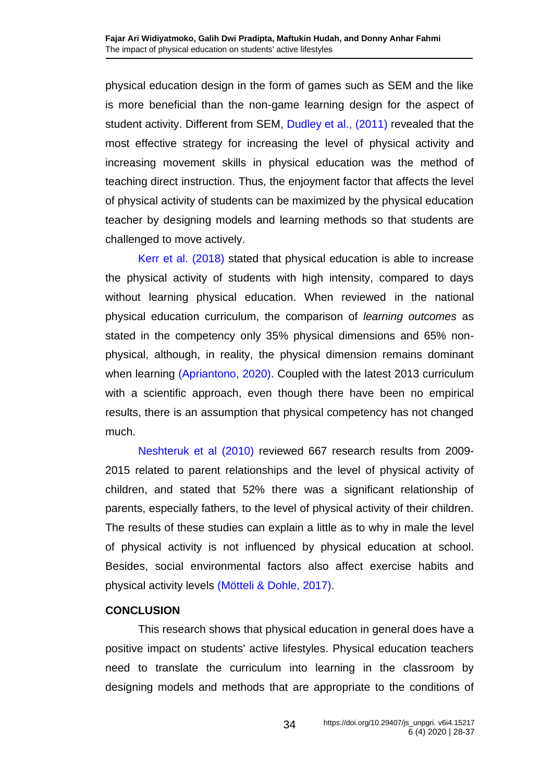physical education design in the form of games such as SEM and the like is more beneficial than the non-game learning design for the aspect of student activity. Different from SEM, [Dudley et al.,](#page-7-4) (2011) revealed that the most effective strategy for increasing the level of physical activity and increasing movement skills in physical education was the method of teaching direct instruction. Thus, the enjoyment factor that affects the level of physical activity of students can be maximized by the physical education teacher by designing models and learning methods so that students are challenged to move actively.

[Kerr et al.](#page-8-4) (2018) stated that physical education is able to increase the physical activity of students with high intensity, compared to days without learning physical education. When reviewed in the national physical education curriculum, the comparison of *learning outcomes* as stated in the competency only 35% physical dimensions and 65% nonphysical, although, in reality, the physical dimension remains dominant when learning [\(Apriantono, 2020\).](#page-7-8) Coupled with the latest 2013 curriculum with a scientific approach, even though there have been no empirical results, there is an assumption that physical competency has not changed much.

[Neshteruk et al](#page-8-2) (2010) reviewed 667 research results from 2009- 2015 related to parent relationships and the level of physical activity of children, and stated that 52% there was a significant relationship of parents, especially fathers, to the level of physical activity of their children. The results of these studies can explain a little as to why in male the level of physical activity is not influenced by physical education at school. Besides, social environmental factors also affect exercise habits and physical activity levels [\(Mötteli & Dohle, 2017\).](#page-8-9)

### **CONCLUSION**

This research shows that physical education in general does have a positive impact on students' active lifestyles. Physical education teachers need to translate the curriculum into learning in the classroom by designing models and methods that are appropriate to the conditions of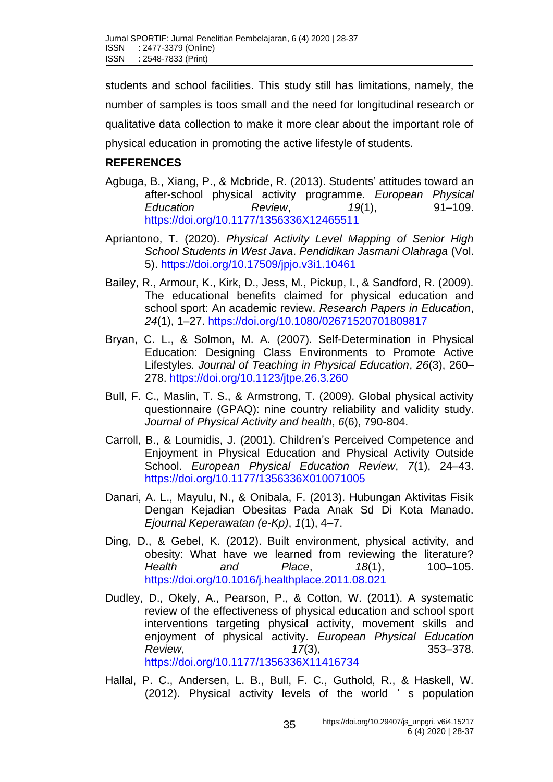students and school facilities. This study still has limitations, namely, the number of samples is toos small and the need for longitudinal research or qualitative data collection to make it more clear about the important role of physical education in promoting the active lifestyle of students.

## **REFERENCES**

- <span id="page-7-9"></span>Agbuga, B., Xiang, P., & Mcbride, R. (2013). Students' attitudes toward an after-school physical activity programme. *European Physical Education Review*, *19*(1), 91–109. <https://doi.org/10.1177/1356336X12465511>
- <span id="page-7-8"></span>Apriantono, T. (2020). *Physical Activity Level Mapping of Senior High School Students in West Java*. *Pendidikan Jasmani Olahraga* (Vol. 5).<https://doi.org/10.17509/jpjo.v3i1.10461>
- <span id="page-7-0"></span>Bailey, R., Armour, K., Kirk, D., Jess, M., Pickup, I., & Sandford, R. (2009). The educational benefits claimed for physical education and school sport: An academic review. *Research Papers in Education*, *24*(1), 1–27.<https://doi.org/10.1080/02671520701809817>
- <span id="page-7-3"></span>Bryan, C. L., & Solmon, M. A. (2007). Self-Determination in Physical Education: Designing Class Environments to Promote Active Lifestyles. *Journal of Teaching in Physical Education*, *26*(3), 260– 278.<https://doi.org/10.1123/jtpe.26.3.260>
- <span id="page-7-5"></span>Bull, F. C., Maslin, T. S., & Armstrong, T. (2009). Global physical activity questionnaire (GPAQ): nine country reliability and validity study. *Journal of Physical Activity and health*, *6*(6), 790-804.
- <span id="page-7-6"></span>Carroll, B., & Loumidis, J. (2001). Children's Perceived Competence and Enjoyment in Physical Education and Physical Activity Outside School. *European Physical Education Review*, *7*(1), 24–43. <https://doi.org/10.1177/1356336X010071005>
- <span id="page-7-7"></span>Danari, A. L., Mayulu, N., & Onibala, F. (2013). Hubungan Aktivitas Fisik Dengan Kejadian Obesitas Pada Anak Sd Di Kota Manado. *Ejournal Keperawatan (e-Kp)*, *1*(1), 4–7.
- <span id="page-7-2"></span>Ding, D., & Gebel, K. (2012). Built environment, physical activity, and obesity: What have we learned from reviewing the literature? *Health and Place*, *18*(1), 100–105. <https://doi.org/10.1016/j.healthplace.2011.08.021>
- <span id="page-7-4"></span>Dudley, D., Okely, A., Pearson, P., & Cotton, W. (2011). A systematic review of the effectiveness of physical education and school sport interventions targeting physical activity, movement skills and enjoyment of physical activity. *European Physical Education Review*, *17*(3), 353–378. <https://doi.org/10.1177/1356336X11416734>
- <span id="page-7-1"></span>Hallal, P. C., Andersen, L. B., Bull, F. C., Guthold, R., & Haskell, W. (2012). Physical activity levels of the world ' s population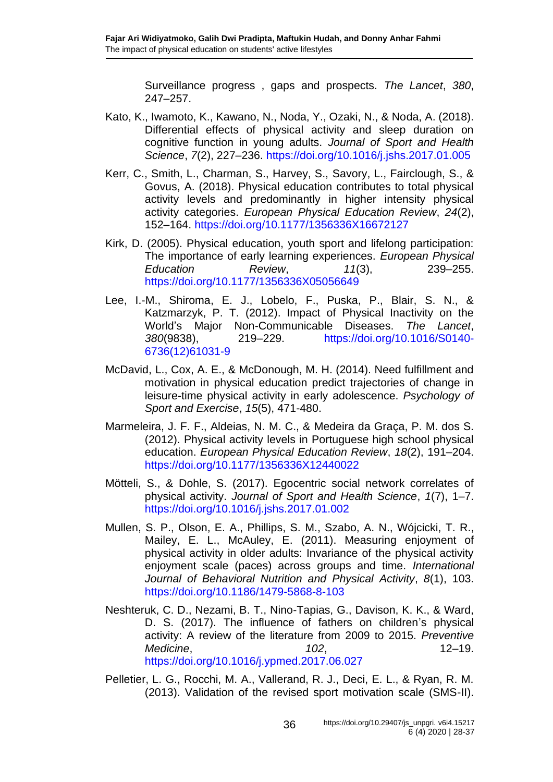Surveillance progress , gaps and prospects. *The Lancet*, *380*, 247–257.

- <span id="page-8-1"></span>Kato, K., Iwamoto, K., Kawano, N., Noda, Y., Ozaki, N., & Noda, A. (2018). Differential effects of physical activity and sleep duration on cognitive function in young adults. *Journal of Sport and Health Science*, *7*(2), 227–236.<https://doi.org/10.1016/j.jshs.2017.01.005>
- <span id="page-8-4"></span>Kerr, C., Smith, L., Charman, S., Harvey, S., Savory, L., Fairclough, S., & Govus, A. (2018). Physical education contributes to total physical activity levels and predominantly in higher intensity physical activity categories. *European Physical Education Review*, *24*(2), 152–164.<https://doi.org/10.1177/1356336X16672127>
- <span id="page-8-3"></span>Kirk, D. (2005). Physical education, youth sport and lifelong participation: The importance of early learning experiences. *European Physical Education Review*, *11*(3), 239–255. <https://doi.org/10.1177/1356336X05056649>
- <span id="page-8-0"></span>Lee, I.-M., Shiroma, E. J., Lobelo, F., Puska, P., Blair, S. N., & Katzmarzyk, P. T. (2012). Impact of Physical Inactivity on the World's Major Non-Communicable Diseases. *The Lancet*, *380*(9838), 219–229. [https://doi.org/10.1016/S0140-](https://doi.org/10.1016/S0140-6736(12)61031-9) [6736\(12\)61031-9](https://doi.org/10.1016/S0140-6736(12)61031-9)
- <span id="page-8-7"></span>McDavid, L., Cox, A. E., & McDonough, M. H. (2014). Need fulfillment and motivation in physical education predict trajectories of change in leisure-time physical activity in early adolescence. *Psychology of Sport and Exercise*, *15*(5), 471-480.
- <span id="page-8-8"></span>Marmeleira, J. F. F., Aldeias, N. M. C., & Medeira da Graça, P. M. dos S. (2012). Physical activity levels in Portuguese high school physical education. *European Physical Education Review*, *18*(2), 191–204. <https://doi.org/10.1177/1356336X12440022>
- <span id="page-8-9"></span>Mötteli, S., & Dohle, S. (2017). Egocentric social network correlates of physical activity. *Journal of Sport and Health Science*, *1*(7), 1–7. <https://doi.org/10.1016/j.jshs.2017.01.002>
- <span id="page-8-6"></span>Mullen, S. P., Olson, E. A., Phillips, S. M., Szabo, A. N., Wójcicki, T. R., Mailey, E. L., McAuley, E. (2011). Measuring enjoyment of physical activity in older adults: Invariance of the physical activity enjoyment scale (paces) across groups and time. *International Journal of Behavioral Nutrition and Physical Activity*, *8*(1), 103. <https://doi.org/10.1186/1479-5868-8-103>
- <span id="page-8-2"></span>Neshteruk, C. D., Nezami, B. T., Nino-Tapias, G., Davison, K. K., & Ward, D. S. (2017). The influence of fathers on children's physical activity: A review of the literature from 2009 to 2015. *Preventive Medicine*, *102*, 12–19. <https://doi.org/10.1016/j.ypmed.2017.06.027>
- <span id="page-8-5"></span>Pelletier, L. G., Rocchi, M. A., Vallerand, R. J., Deci, E. L., & Ryan, R. M. (2013). Validation of the revised sport motivation scale (SMS-II).